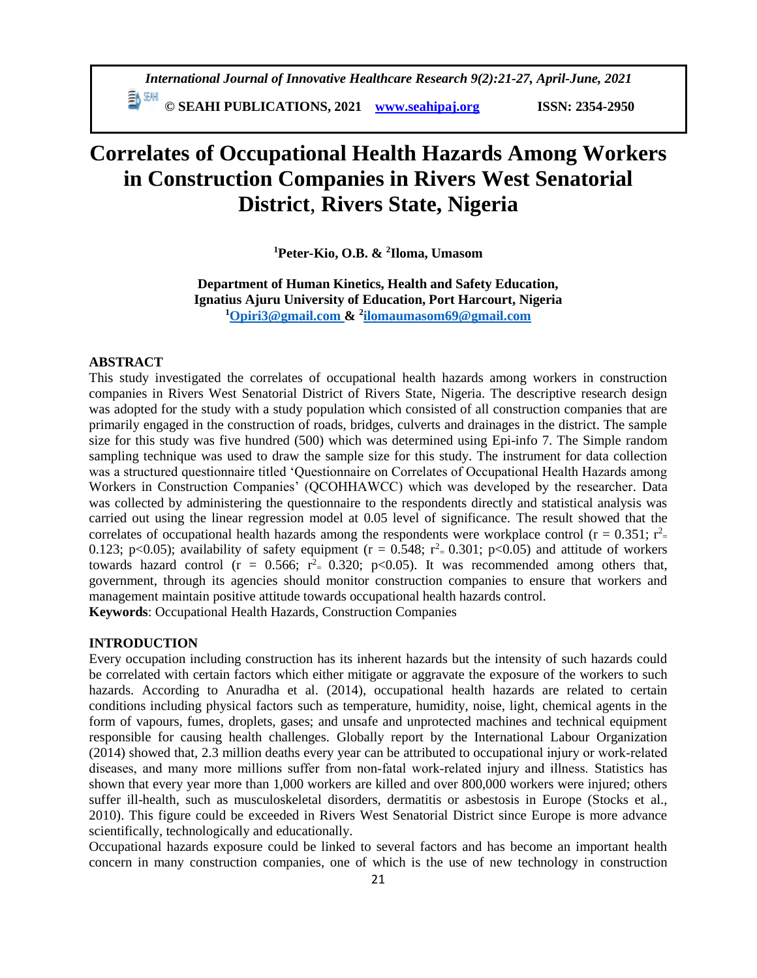**© SEAHI PUBLICATIONS, 2021 [www.seahipaj.org](http://www.seahipaj.org/) ISSN: 2354-2950**

# **Correlates of Occupational Health Hazards Among Workers in Construction Companies in Rivers West Senatorial District**, **Rivers State, Nigeria**

**<sup>1</sup>Peter-Kio, O.B. & <sup>2</sup> Iloma, Umasom**

**Department of Human Kinetics, Health and Safety Education, Ignatius Ajuru University of Education, Port Harcourt, Nigeria <sup>1</sup>[Opiri3@gmail.com](mailto:Opiri3@gmail.com) & <sup>2</sup> [ilomaumasom69@gmail.com](mailto:ilomaumasom69@gmail.com)**

## **ABSTRACT**

This study investigated the correlates of occupational health hazards among workers in construction companies in Rivers West Senatorial District of Rivers State, Nigeria. The descriptive research design was adopted for the study with a study population which consisted of all construction companies that are primarily engaged in the construction of roads, bridges, culverts and drainages in the district. The sample size for this study was five hundred (500) which was determined using Epi-info 7. The Simple random sampling technique was used to draw the sample size for this study. The instrument for data collection was a structured questionnaire titled 'Questionnaire on Correlates of Occupational Health Hazards among Workers in Construction Companies' (QCOHHAWCC) which was developed by the researcher. Data was collected by administering the questionnaire to the respondents directly and statistical analysis was carried out using the linear regression model at 0.05 level of significance. The result showed that the correlates of occupational health hazards among the respondents were workplace control ( $r = 0.351$ ;  $r<sup>2</sup> =$ 0.123; p<0.05); availability of safety equipment ( $r = 0.548$ ;  $r^2 = 0.301$ ; p<0.05) and attitude of workers towards hazard control ( $r = 0.566$ ;  $r^2 = 0.320$ ;  $p < 0.05$ ). It was recommended among others that, government, through its agencies should monitor construction companies to ensure that workers and management maintain positive attitude towards occupational health hazards control.

**Keywords**: Occupational Health Hazards, Construction Companies

# **INTRODUCTION**

Every occupation including construction has its inherent hazards but the intensity of such hazards could be correlated with certain factors which either mitigate or aggravate the exposure of the workers to such hazards. According to Anuradha et al. (2014), occupational health hazards are related to certain conditions including physical factors such as temperature, humidity, noise, light, chemical agents in the form of vapours, fumes, droplets, gases; and unsafe and unprotected machines and technical equipment responsible for causing health challenges. Globally report by the International Labour Organization (2014) showed that, 2.3 million deaths every year can be attributed to occupational injury or work‐related diseases, and many more millions suffer from non‐fatal work‐related injury and illness. Statistics has shown that every year more than 1,000 workers are killed and over 800,000 workers were injured; others suffer ill-health, such as musculoskeletal disorders, dermatitis or asbestosis in Europe (Stocks et al., 2010). This figure could be exceeded in Rivers West Senatorial District since Europe is more advance scientifically, technologically and educationally.

Occupational hazards exposure could be linked to several factors and has become an important health concern in many construction companies, one of which is the use of new technology in construction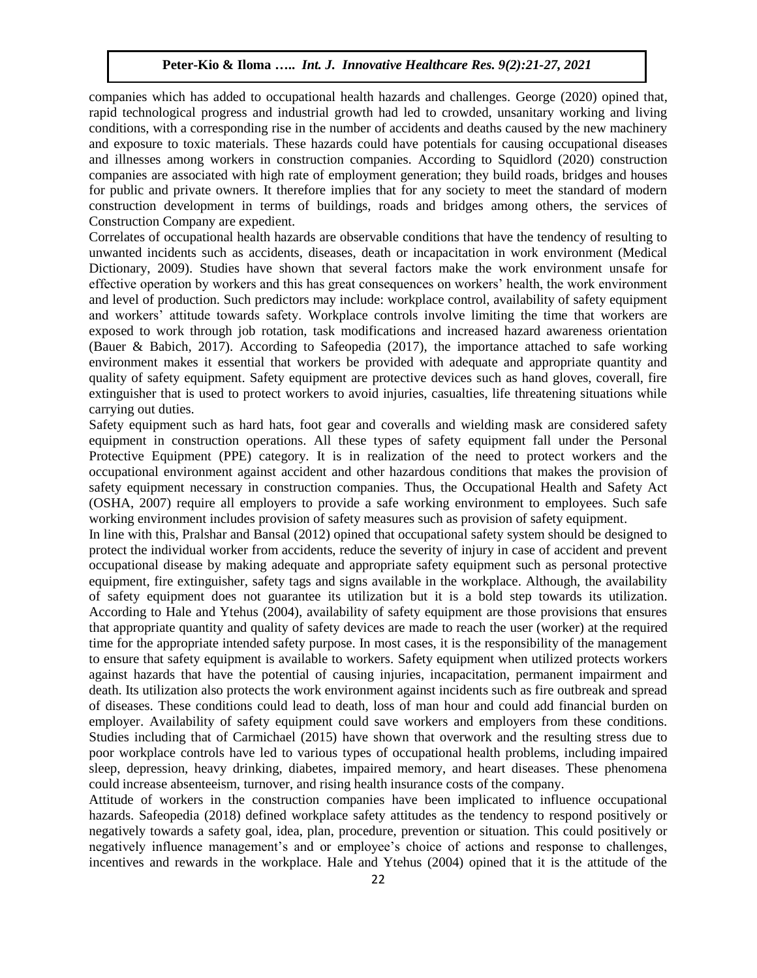companies which has added to occupational health hazards and challenges. George (2020) opined that, rapid technological progress and industrial growth had led to crowded, unsanitary working and living conditions, with a corresponding rise in the number of accidents and deaths caused by the new machinery and exposure to toxic materials. These hazards could have potentials for causing occupational diseases and illnesses among workers in construction companies. According to Squidlord (2020) construction companies are associated with high rate of employment generation; they build roads, bridges and houses for public and private owners. It therefore implies that for any society to meet the standard of modern construction development in terms of buildings, roads and bridges among others, the services of Construction Company are expedient.

Correlates of occupational health hazards are observable conditions that have the tendency of resulting to unwanted incidents such as accidents, diseases, death or incapacitation in work environment (Medical Dictionary, 2009). Studies have shown that several factors make the work environment unsafe for effective operation by workers and this has great consequences on workers' health, the work environment and level of production. Such predictors may include: workplace control, availability of safety equipment and workers' attitude towards safety. Workplace controls involve limiting the time that workers are exposed to work through job rotation, task modifications and increased hazard awareness orientation (Bauer & Babich, 2017). According to Safeopedia (2017), the importance attached to safe working environment makes it essential that workers be provided with adequate and appropriate quantity and quality of safety equipment. Safety equipment are protective devices such as hand gloves, coverall, fire extinguisher that is used to protect workers to avoid injuries, casualties, life threatening situations while carrying out duties.

Safety equipment such as hard hats, foot gear and coveralls and wielding mask are considered safety equipment in construction operations. All these types of safety equipment fall under the Personal Protective Equipment (PPE) category. It is in realization of the need to protect workers and the occupational environment against accident and other hazardous conditions that makes the provision of safety equipment necessary in construction companies. Thus, the Occupational Health and Safety Act (OSHA, 2007) require all employers to provide a safe working environment to employees. Such safe working environment includes provision of safety measures such as provision of safety equipment.

In line with this, Pralshar and Bansal (2012) opined that occupational safety system should be designed to protect the individual worker from accidents, reduce the severity of injury in case of accident and prevent occupational disease by making adequate and appropriate safety equipment such as personal protective equipment, fire extinguisher, safety tags and signs available in the workplace. Although, the availability of safety equipment does not guarantee its utilization but it is a bold step towards its utilization. According to Hale and Ytehus (2004), availability of safety equipment are those provisions that ensures that appropriate quantity and quality of safety devices are made to reach the user (worker) at the required time for the appropriate intended safety purpose. In most cases, it is the responsibility of the management to ensure that safety equipment is available to workers*.* Safety equipment when utilized protects workers against hazards that have the potential of causing injuries, incapacitation, permanent impairment and death. Its utilization also protects the work environment against incidents such as fire outbreak and spread of diseases. These conditions could lead to death, loss of man hour and could add financial burden on employer. Availability of safety equipment could save workers and employers from these conditions. Studies including that of Carmichael (2015) have shown that overwork and the resulting stress due to poor workplace controls have led to various types of occupational health problems, including impaired sleep, depression, heavy drinking, diabetes, impaired memory, and heart diseases. These phenomena could increase absenteeism, turnover, and rising health insurance costs of the company.

Attitude of workers in the construction companies have been implicated to influence occupational hazards. Safeopedia (2018) defined workplace safety attitudes as the tendency to respond positively or negatively towards a safety goal, idea, plan, procedure, prevention or situation. This could positively or negatively influence management's and or employee's choice of actions and response to challenges, incentives and rewards in the workplace. Hale and Ytehus (2004) opined that it is the attitude of the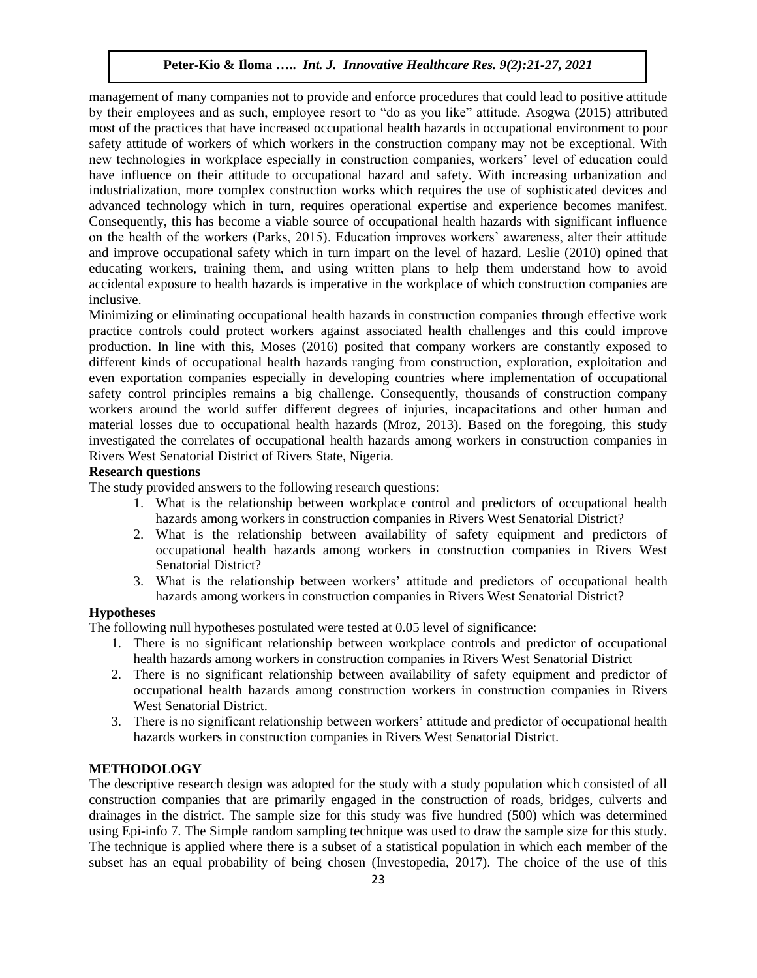management of many companies not to provide and enforce procedures that could lead to positive attitude by their employees and as such, employee resort to "do as you like" attitude. Asogwa (2015) attributed most of the practices that have increased occupational health hazards in occupational environment to poor safety attitude of workers of which workers in the construction company may not be exceptional. With new technologies in workplace especially in construction companies, workers' level of education could have influence on their attitude to occupational hazard and safety. With increasing urbanization and industrialization, more complex construction works which requires the use of sophisticated devices and advanced technology which in turn, requires operational expertise and experience becomes manifest. Consequently, this has become a viable source of occupational health hazards with significant influence on the health of the workers (Parks, 2015). Education improves workers' awareness, alter their attitude and improve occupational safety which in turn impart on the level of hazard. Leslie (2010) opined that educating workers, training them, and using written plans to help them understand how to avoid accidental exposure to health hazards is imperative in the workplace of which construction companies are inclusive.

Minimizing or eliminating occupational health hazards in construction companies through effective work practice controls could protect workers against associated health challenges and this could improve production. In line with this, Moses (2016) posited that company workers are constantly exposed to different kinds of occupational health hazards ranging from construction, exploration, exploitation and even exportation companies especially in developing countries where implementation of occupational safety control principles remains a big challenge. Consequently, thousands of construction company workers around the world suffer different degrees of injuries, incapacitations and other human and material losses due to occupational health hazards (Mroz, 2013). Based on the foregoing, this study investigated the correlates of occupational health hazards among workers in construction companies in Rivers West Senatorial District of Rivers State, Nigeria.

# **Research questions**

The study provided answers to the following research questions:

- 1. What is the relationship between workplace control and predictors of occupational health hazards among workers in construction companies in Rivers West Senatorial District?
- 2. What is the relationship between availability of safety equipment and predictors of occupational health hazards among workers in construction companies in Rivers West Senatorial District?
- 3. What is the relationship between workers' attitude and predictors of occupational health hazards among workers in construction companies in Rivers West Senatorial District?

## **Hypotheses**

The following null hypotheses postulated were tested at 0.05 level of significance:

- 1. There is no significant relationship between workplace controls and predictor of occupational health hazards among workers in construction companies in Rivers West Senatorial District
- 2. There is no significant relationship between availability of safety equipment and predictor of occupational health hazards among construction workers in construction companies in Rivers West Senatorial District.
- 3. There is no significant relationship between workers' attitude and predictor of occupational health hazards workers in construction companies in Rivers West Senatorial District.

# **METHODOLOGY**

The descriptive research design was adopted for the study with a study population which consisted of all construction companies that are primarily engaged in the construction of roads, bridges, culverts and drainages in the district. The sample size for this study was five hundred (500) which was determined using Epi-info 7. The Simple random sampling technique was used to draw the sample size for this study. The technique is applied where there is a subset of a statistical population in which each member of the subset has an equal probability of being chosen (Investopedia, 2017). The choice of the use of this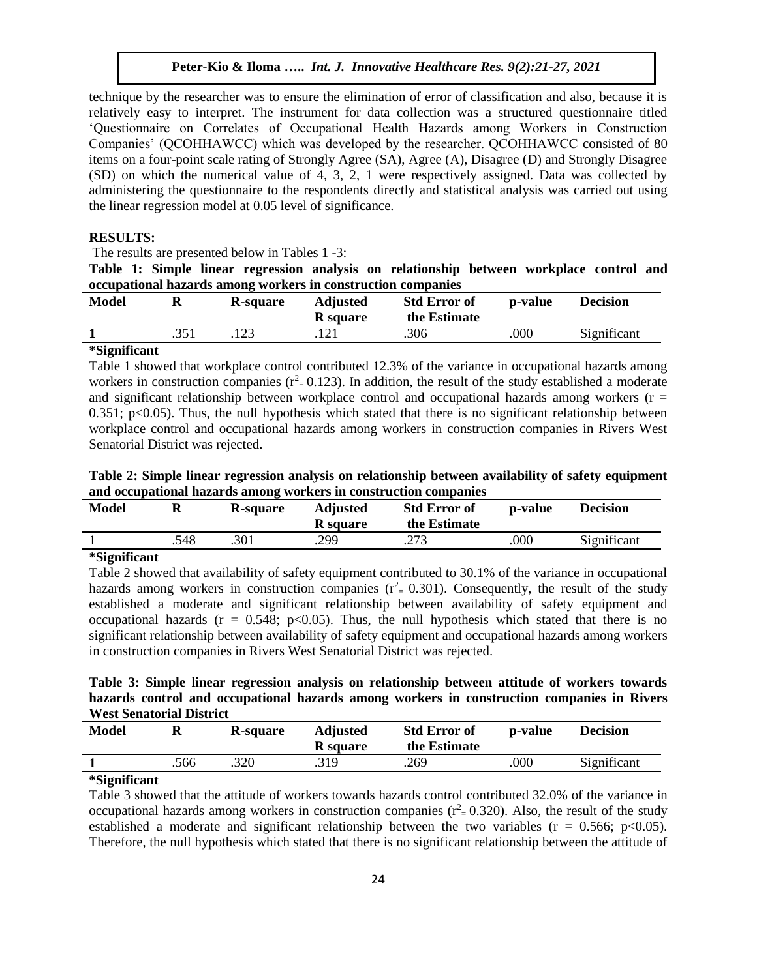technique by the researcher was to ensure the elimination of error of classification and also, because it is relatively easy to interpret. The instrument for data collection was a structured questionnaire titled 'Questionnaire on Correlates of Occupational Health Hazards among Workers in Construction Companies' (QCOHHAWCC) which was developed by the researcher. QCOHHAWCC consisted of 80 items on a four-point scale rating of Strongly Agree (SA), Agree (A), Disagree (D) and Strongly Disagree (SD) on which the numerical value of 4, 3, 2, 1 were respectively assigned. Data was collected by administering the questionnaire to the respondents directly and statistical analysis was carried out using the linear regression model at 0.05 level of significance.

#### **RESULTS:**

The results are presented below in Tables 1 -3:

**Table 1: Simple linear regression analysis on relationship between workplace control and occupational hazards among workers in construction companies**

| <b>Model</b> | R-square | <b>Adjusted</b><br><b>R</b> square | <b>Std Error of</b><br>the Estimate | p-value | Decision    |
|--------------|----------|------------------------------------|-------------------------------------|---------|-------------|
|              |          |                                    | .306                                | .000    | Significant |

### **\*Significant**

Table 1 showed that workplace control contributed 12.3% of the variance in occupational hazards among workers in construction companies ( $r^2 = 0.123$ ). In addition, the result of the study established a moderate and significant relationship between workplace control and occupational hazards among workers ( $r =$ 0.351;  $p<0.05$ ). Thus, the null hypothesis which stated that there is no significant relationship between workplace control and occupational hazards among workers in construction companies in Rivers West Senatorial District was rejected.

**Table 2: Simple linear regression analysis on relationship between availability of safety equipment and occupational hazards among workers in construction companies**

| <b>Model</b> |      | R-square | <b>Adjusted</b><br><b>R</b> square | <b>Std Error of</b><br>the Estimate | p-value | <b>Decision</b> |
|--------------|------|----------|------------------------------------|-------------------------------------|---------|-----------------|
|              | .548 | .301     | .299                               | าฯว<br>ر رے .                       | .000    | Significant     |

#### **\*Significant**

Table 2 showed that availability of safety equipment contributed to 30.1% of the variance in occupational hazards among workers in construction companies  $(r^2 = 0.301)$ . Consequently, the result of the study established a moderate and significant relationship between availability of safety equipment and occupational hazards ( $r = 0.548$ ; p<0.05). Thus, the null hypothesis which stated that there is no significant relationship between availability of safety equipment and occupational hazards among workers in construction companies in Rivers West Senatorial District was rejected.

**Table 3: Simple linear regression analysis on relationship between attitude of workers towards hazards control and occupational hazards among workers in construction companies in Rivers West Senatorial District**

| <b>Model</b> |      | R-square | <b>Adjusted</b><br><b>R</b> square | <b>Std Error of</b><br>the Estimate | <b>p-value</b> | <b>Decision</b> |
|--------------|------|----------|------------------------------------|-------------------------------------|----------------|-----------------|
|              | .566 | .320     | .319                               | .269                                | .000           | Significant     |

### **\*Significant**

Table 3 showed that the attitude of workers towards hazards control contributed 32.0% of the variance in occupational hazards among workers in construction companies ( $r^2 = 0.320$ ). Also, the result of the study established a moderate and significant relationship between the two variables ( $r = 0.566$ ; p<0.05). Therefore, the null hypothesis which stated that there is no significant relationship between the attitude of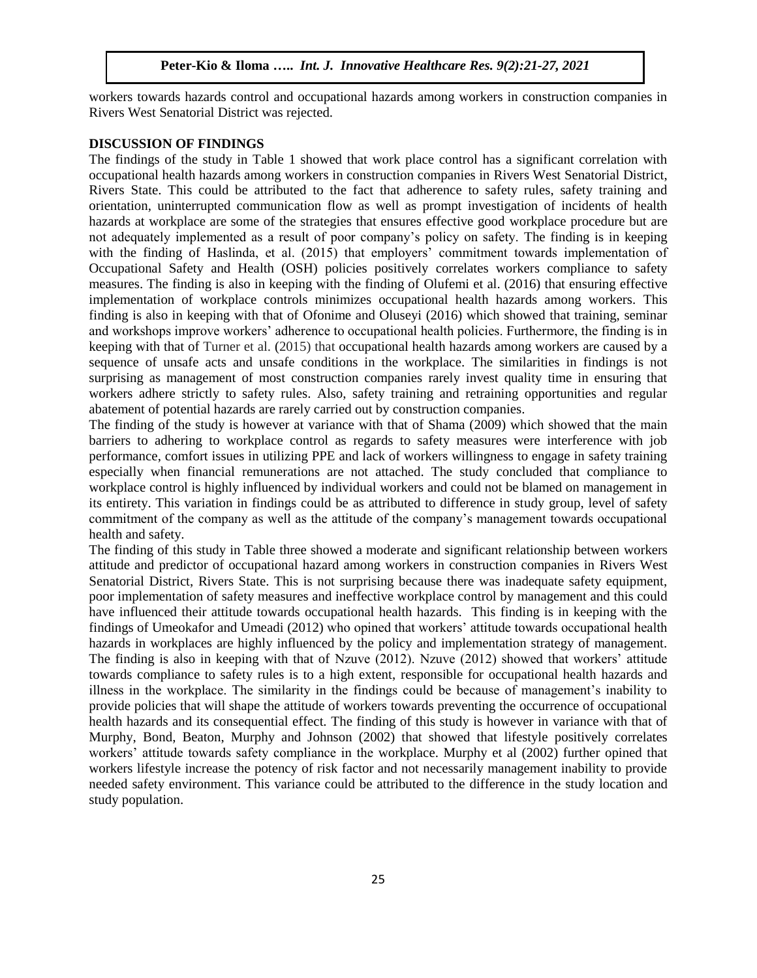workers towards hazards control and occupational hazards among workers in construction companies in Rivers West Senatorial District was rejected.

#### **DISCUSSION OF FINDINGS**

The findings of the study in Table 1 showed that work place control has a significant correlation with occupational health hazards among workers in construction companies in Rivers West Senatorial District, Rivers State. This could be attributed to the fact that adherence to safety rules, safety training and orientation, uninterrupted communication flow as well as prompt investigation of incidents of health hazards at workplace are some of the strategies that ensures effective good workplace procedure but are not adequately implemented as a result of poor company's policy on safety. The finding is in keeping with the finding of Haslinda, et al. (2015) that employers' commitment towards implementation of Occupational Safety and Health (OSH) policies positively correlates workers compliance to safety measures. The finding is also in keeping with the finding of Olufemi et al. (2016) that ensuring effective implementation of workplace controls minimizes occupational health hazards among workers. This finding is also in keeping with that of Ofonime and Oluseyi (2016) which showed that training, seminar and workshops improve workers' adherence to occupational health policies. Furthermore, the finding is in keeping with that of Turner et al. (2015) that occupational health hazards among workers are caused by a sequence of unsafe acts and unsafe conditions in the workplace. The similarities in findings is not surprising as management of most construction companies rarely invest quality time in ensuring that workers adhere strictly to safety rules. Also, safety training and retraining opportunities and regular abatement of potential hazards are rarely carried out by construction companies.

The finding of the study is however at variance with that of Shama (2009) which showed that the main barriers to adhering to workplace control as regards to safety measures were interference with job performance, comfort issues in utilizing PPE and lack of workers willingness to engage in safety training especially when financial remunerations are not attached. The study concluded that compliance to workplace control is highly influenced by individual workers and could not be blamed on management in its entirety. This variation in findings could be as attributed to difference in study group, level of safety commitment of the company as well as the attitude of the company's management towards occupational health and safety.

The finding of this study in Table three showed a moderate and significant relationship between workers attitude and predictor of occupational hazard among workers in construction companies in Rivers West Senatorial District, Rivers State. This is not surprising because there was inadequate safety equipment, poor implementation of safety measures and ineffective workplace control by management and this could have influenced their attitude towards occupational health hazards. This finding is in keeping with the findings of Umeokafor and Umeadi (2012) who opined that workers' attitude towards occupational health hazards in workplaces are highly influenced by the policy and implementation strategy of management. The finding is also in keeping with that of Nzuve (2012). Nzuve (2012) showed that workers' attitude towards compliance to safety rules is to a high extent, responsible for occupational health hazards and illness in the workplace. The similarity in the findings could be because of management's inability to provide policies that will shape the attitude of workers towards preventing the occurrence of occupational health hazards and its consequential effect. The finding of this study is however in variance with that of Murphy, Bond, Beaton, Murphy and Johnson (2002) that showed that lifestyle positively correlates workers' attitude towards safety compliance in the workplace. Murphy et al (2002) further opined that workers lifestyle increase the potency of risk factor and not necessarily management inability to provide needed safety environment. This variance could be attributed to the difference in the study location and study population.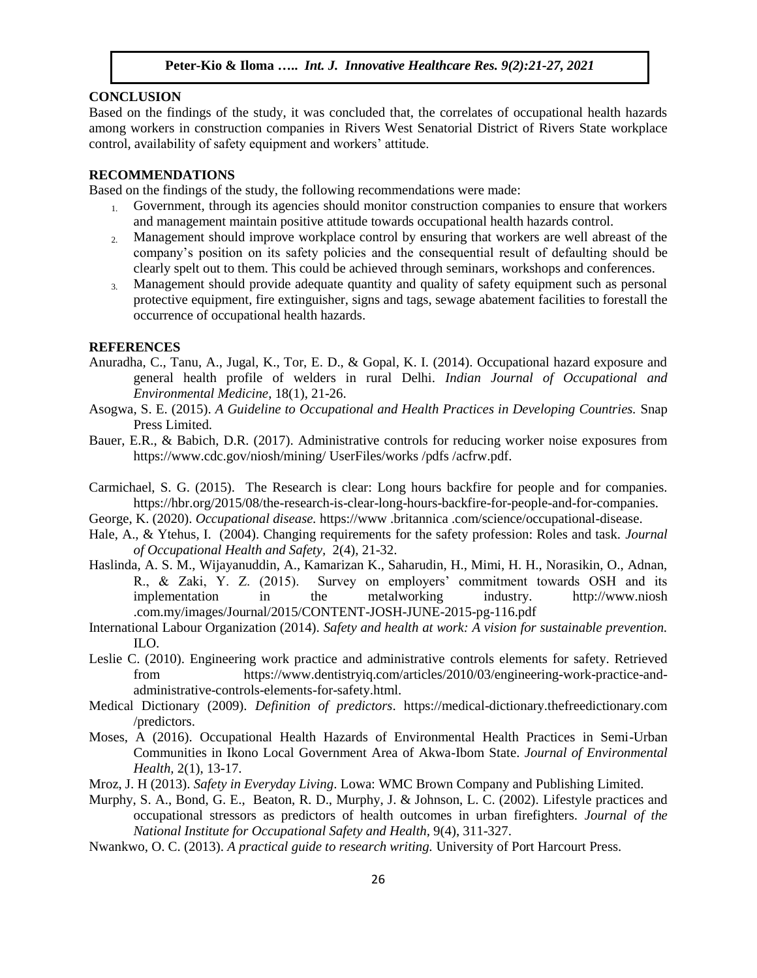## **CONCLUSION**

Based on the findings of the study, it was concluded that, the correlates of occupational health hazards among workers in construction companies in Rivers West Senatorial District of Rivers State workplace control, availability of safety equipment and workers' attitude.

# **RECOMMENDATIONS**

Based on the findings of the study, the following recommendations were made:

- 1. Government, through its agencies should monitor construction companies to ensure that workers and management maintain positive attitude towards occupational health hazards control.
- 2. Management should improve workplace control by ensuring that workers are well abreast of the company's position on its safety policies and the consequential result of defaulting should be clearly spelt out to them. This could be achieved through seminars, workshops and conferences.
- 3. Management should provide adequate quantity and quality of safety equipment such as personal protective equipment, fire extinguisher, signs and tags, sewage abatement facilities to forestall the occurrence of occupational health hazards.

### **REFERENCES**

- Anuradha, C., Tanu, A., Jugal, K., Tor, E. D., & Gopal, K. I. (2014). Occupational hazard exposure and general health profile of welders in rural Delhi. *Indian Journal of Occupational and Environmental Medicine*, 18(1), 21-26.
- Asogwa, S. E. (2015). *A Guideline to Occupational and Health Practices in Developing Countries.* Snap Press Limited.
- Bauer, E.R., & Babich, D.R. (2017). Administrative controls for reducing worker noise exposures from https://www.cdc.gov/niosh/mining/ UserFiles/works /pdfs /acfrw.pdf.
- Carmichael, S. G. (2015). The Research is clear: Long hours backfire for people and for companies. https://hbr.org/2015/08/the-research-is-clear-long-hours-backfire-for-people-and-for-companies.
- George, K. (2020). *Occupational disease.* https://www .britannica .com/science/occupational-disease.
- Hale, A., & Ytehus, I. (2004). Changing requirements for the safety profession: Roles and task. *Journal of Occupational Health and Safety,* 2(4), 21-32.
- Haslinda, A. S. M., Wijayanuddin, A., Kamarizan K., Saharudin, H., Mimi, H. H., Norasikin, O., Adnan, R., & Zaki, Y. Z. (2015). Survey on employers' commitment towards OSH and its implementation in the metalworking industry. http://www.niosh .com.my/images/Journal/2015/CONTENT-JOSH-JUNE-2015-pg-116.pdf
- International Labour Organization (2014). *Safety and health at work: A vision for sustainable prevention.* ILO.
- Leslie C. (2010). Engineering work practice and administrative controls elements for safety. Retrieved from https://www.dentistryiq.com/articles/2010/03/engineering-work-practice-andadministrative-controls-elements-for-safety.html.
- Medical Dictionary (2009). *Definition of predictors*. https://medical-dictionary.thefreedictionary.com /predictors.
- Moses, A (2016). Occupational Health Hazards of Environmental Health Practices in Semi-Urban Communities in Ikono Local Government Area of Akwa-Ibom State. *Journal of Environmental Health,* 2(1), 13-17.
- Mroz, J. H (2013). *Safety in Everyday Living*. Lowa: WMC Brown Company and Publishing Limited.
- Murphy, S. A., Bond, G. E., Beaton, R. D., Murphy, J. & Johnson, L. C. (2002). Lifestyle practices and occupational stressors as predictors of health outcomes in urban firefighters. *Journal of the National Institute for Occupational Safety and Health,* 9(4), 311-327.
- Nwankwo, O. C. (2013). *A practical guide to research writing.* University of Port Harcourt Press.